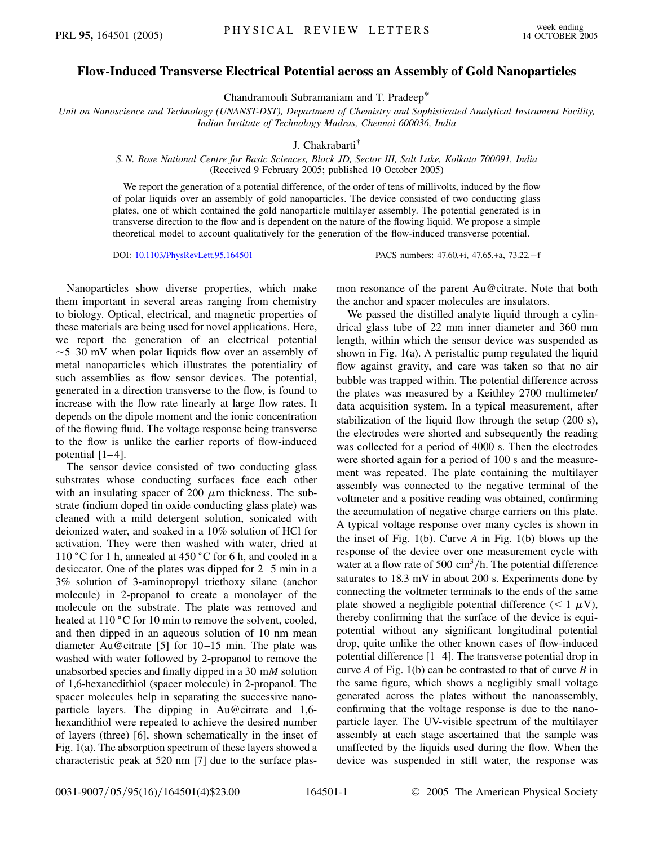## **Flow-Induced Transverse Electrical Potential across an Assembly of Gold Nanoparticles**

Chandramouli Subramaniam and T. Pradeep\*

*Unit on Nanoscience and Technology (UNANST-DST), Department of Chemistry and Sophisticated Analytical Instrument Facility, Indian Institute of Technology Madras, Chennai 600036, India*

J. Chakrabarti†

## *S. N. Bose National Centre for Basic Sciences, Block JD, Sector III, Salt Lake, Kolkata 700091, India* (Received 9 February 2005; published 10 October 2005)

We report the generation of a potential difference, of the order of tens of millivolts, induced by the flow of polar liquids over an assembly of gold nanoparticles. The device consisted of two conducting glass plates, one of which contained the gold nanoparticle multilayer assembly. The potential generated is in transverse direction to the flow and is dependent on the nature of the flowing liquid. We propose a simple theoretical model to account qualitatively for the generation of the flow-induced transverse potential.

DOI: [10.1103/PhysRevLett.95.164501](http://dx.doi.org/10.1103/PhysRevLett.95.164501) PACS numbers: 47.60.+i, 47.65.+a, 73.22. - f

Nanoparticles show diverse properties, which make them important in several areas ranging from chemistry to biology. Optical, electrical, and magnetic properties of these materials are being used for novel applications. Here, we report the generation of an electrical potential  $\sim$  5–30 mV when polar liquids flow over an assembly of metal nanoparticles which illustrates the potentiality of such assemblies as flow sensor devices. The potential, generated in a direction transverse to the flow, is found to increase with the flow rate linearly at large flow rates. It depends on the dipole moment and the ionic concentration of the flowing fluid. The voltage response being transverse to the flow is unlike the earlier reports of flow-induced potential [1–4].

The sensor device consisted of two conducting glass substrates whose conducting surfaces face each other with an insulating spacer of 200  $\mu$ m thickness. The substrate (indium doped tin oxide conducting glass plate) was cleaned with a mild detergent solution, sonicated with deionized water, and soaked in a 10% solution of HCl for activation. They were then washed with water, dried at 110 °C for 1 h, annealed at 450 °C for 6 h, and cooled in a desiccator. One of the plates was dipped for 2–5 min in a 3% solution of 3-aminopropyl triethoxy silane (anchor molecule) in 2-propanol to create a monolayer of the molecule on the substrate. The plate was removed and heated at 110 °C for 10 min to remove the solvent, cooled, and then dipped in an aqueous solution of 10 nm mean diameter Au@citrate [5] for 10–15 min. The plate was washed with water followed by 2-propanol to remove the unabsorbed species and finally dipped in a 30 m*M* solution of 1,6-hexanedithiol (spacer molecule) in 2-propanol. The spacer molecules help in separating the successive nanoparticle layers. The dipping in Au@citrate and 1,6 hexandithiol were repeated to achieve the desired number of layers (three) [6], shown schematically in the inset of Fig. 1(a). The absorption spectrum of these layers showed a characteristic peak at 520 nm [7] due to the surface plasmon resonance of the parent Au@citrate. Note that both the anchor and spacer molecules are insulators.

We passed the distilled analyte liquid through a cylindrical glass tube of 22 mm inner diameter and 360 mm length, within which the sensor device was suspended as shown in Fig. 1(a). A peristaltic pump regulated the liquid flow against gravity, and care was taken so that no air bubble was trapped within. The potential difference across the plates was measured by a Keithley 2700 multimeter/ data acquisition system. In a typical measurement, after stabilization of the liquid flow through the setup (200 s), the electrodes were shorted and subsequently the reading was collected for a period of 4000 s. Then the electrodes were shorted again for a period of 100 s and the measurement was repeated. The plate containing the multilayer assembly was connected to the negative terminal of the voltmeter and a positive reading was obtained, confirming the accumulation of negative charge carriers on this plate. A typical voltage response over many cycles is shown in the inset of Fig. 1(b). Curve *A* in Fig. 1(b) blows up the response of the device over one measurement cycle with water at a flow rate of 500  $\text{cm}^3/\text{h}$ . The potential difference saturates to 18.3 mV in about 200 s. Experiments done by connecting the voltmeter terminals to the ends of the same plate showed a negligible potential difference  $(< 1 \mu V)$ , thereby confirming that the surface of the device is equipotential without any significant longitudinal potential drop, quite unlike the other known cases of flow-induced potential difference  $[1-4]$ . The transverse potential drop in curve *A* of Fig. 1(b) can be contrasted to that of curve *B* in the same figure, which shows a negligibly small voltage generated across the plates without the nanoassembly, confirming that the voltage response is due to the nanoparticle layer. The UV-visible spectrum of the multilayer assembly at each stage ascertained that the sample was unaffected by the liquids used during the flow. When the device was suspended in still water, the response was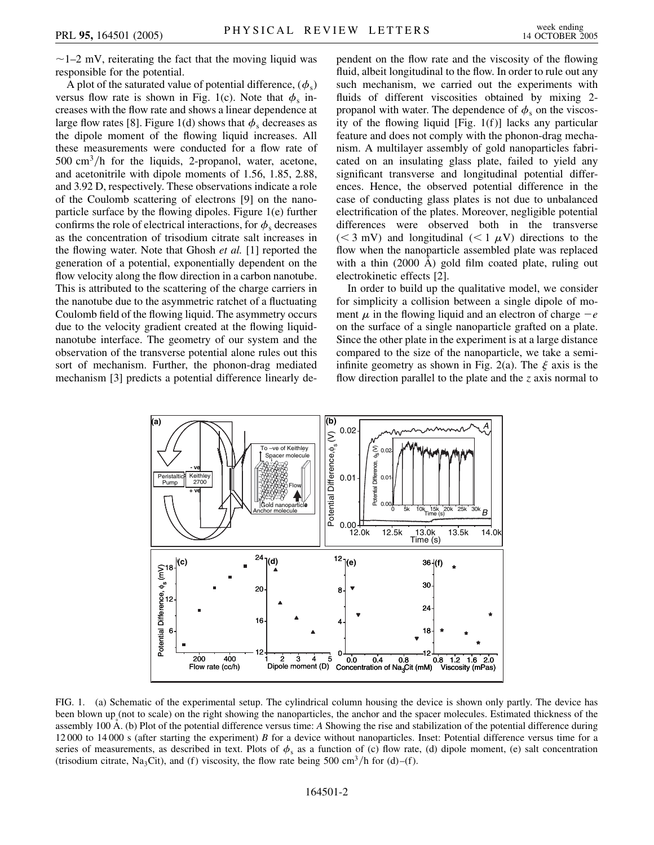$\sim$  1–2 mV, reiterating the fact that the moving liquid was responsible for the potential.

A plot of the saturated value of potential difference,  $(\phi_s)$ versus flow rate is shown in Fig. 1(c). Note that  $\phi_s$  increases with the flow rate and shows a linear dependence at large flow rates [8]. Figure 1(d) shows that  $\phi_s$  decreases as the dipole moment of the flowing liquid increases. All these measurements were conducted for a flow rate of 500 cm<sup>3</sup>/h for the liquids, 2-propanol, water, acetone, and acetonitrile with dipole moments of 1.56, 1.85, 2.88, and 3.92 D, respectively. These observations indicate a role of the Coulomb scattering of electrons [9] on the nanoparticle surface by the flowing dipoles. Figure 1(e) further confirms the role of electrical interactions, for  $\phi_s$  decreases as the concentration of trisodium citrate salt increases in the flowing water. Note that Ghosh *et al.* [1] reported the generation of a potential, exponentially dependent on the flow velocity along the flow direction in a carbon nanotube. This is attributed to the scattering of the charge carriers in the nanotube due to the asymmetric ratchet of a fluctuating Coulomb field of the flowing liquid. The asymmetry occurs due to the velocity gradient created at the flowing liquidnanotube interface. The geometry of our system and the observation of the transverse potential alone rules out this sort of mechanism. Further, the phonon-drag mediated mechanism [3] predicts a potential difference linearly dependent on the flow rate and the viscosity of the flowing fluid, albeit longitudinal to the flow. In order to rule out any such mechanism, we carried out the experiments with fluids of different viscosities obtained by mixing 2 propanol with water. The dependence of  $\phi_s$  on the viscosity of the flowing liquid [Fig. 1(f)] lacks any particular feature and does not comply with the phonon-drag mechanism. A multilayer assembly of gold nanoparticles fabricated on an insulating glass plate, failed to yield any significant transverse and longitudinal potential differences. Hence, the observed potential difference in the case of conducting glass plates is not due to unbalanced electrification of the plates. Moreover, negligible potential differences were observed both in the transverse ( $\leq$  3 mV) and longitudinal ( $\leq$  1  $\mu$ V) directions to the flow when the nanoparticle assembled plate was replaced with a thin  $(2000 \text{ Å})$  gold film coated plate, ruling out electrokinetic effects [2].

In order to build up the qualitative model, we consider for simplicity a collision between a single dipole of moment  $\mu$  in the flowing liquid and an electron of charge  $-e$ on the surface of a single nanoparticle grafted on a plate. Since the other plate in the experiment is at a large distance compared to the size of the nanoparticle, we take a semiinfinite geometry as shown in Fig. 2(a). The  $\xi$  axis is the flow direction parallel to the plate and the *z* axis normal to



FIG. 1. (a) Schematic of the experimental setup. The cylindrical column housing the device is shown only partly. The device has been blown up (not to scale) on the right showing the nanoparticles, the anchor and the spacer molecules. Estimated thickness of the assembly 100 A. (b) Plot of the potential difference versus time: *A* Showing the rise and stabilization of the potential difference during 12 000 to 14 000 s (after starting the experiment) *B* for a device without nanoparticles. Inset: Potential difference versus time for a series of measurements, as described in text. Plots of  $\phi_s$  as a function of (c) flow rate, (d) dipole moment, (e) salt concentration (trisodium citrate, Na<sub>3</sub>Cit), and (f) viscosity, the flow rate being 500 cm<sup>3</sup>/h for (d)–(f).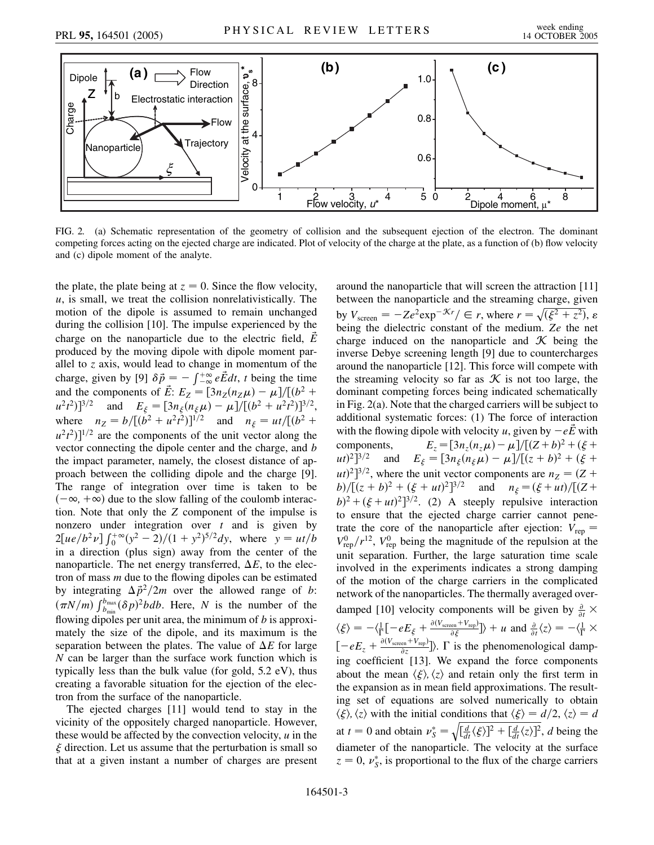

FIG. 2. (a) Schematic representation of the geometry of collision and the subsequent ejection of the electron. The dominant competing forces acting on the ejected charge are indicated. Plot of velocity of the charge at the plate, as a function of (b) flow velocity and (c) dipole moment of the analyte.

the plate, the plate being at  $z = 0$ . Since the flow velocity, *u*, is small, we treat the collision nonrelativistically. The motion of the dipole is assumed to remain unchanged during the collision [10]. The impulse experienced by the charge on the nanoparticle due to the electric field, *E~* produced by the moving dipole with dipole moment parallel to *z* axis, would lead to change in momentum of the charge, given by [9]  $\delta \vec{p} = -\int_{-\infty}^{+\infty} e \vec{E} dt$ , *t* being the time and the components of  $\vec{E}$ :  $E_Z = [3n_Z(n_Z\mu) - \mu]/[(b^2 +$  $[u^2t^2]$ <sup>3/2</sup> and  $E_{\xi} = [3n_{\xi}(n_{\xi}\mu) - \mu]/[(b^2 + u^2t^2)]^{3/2}$ , where  $n_Z = b/[(b^2 + u^2t^2)]^{1/2}$  and  $n_{\xi} = ut/[(b^2 + u^2t^2)]^{1/2}$  $(u^2t^2)^{1/2}$  are the components of the unit vector along the vector connecting the dipole center and the charge, and *b* the impact parameter, namely, the closest distance of approach between the colliding dipole and the charge [9]. The range of integration over time is taken to be  $(-\infty, +\infty)$  due to the slow falling of the coulomb interaction. Note that only the *Z* component of the impulse is nonzero under integration over *t* and is given by  $2[ue/b<sup>2</sup>v] \int_0^{+\infty} (y^2 - 2)/(1 + y^2)^{5/2} dy$ , where  $y = ut/b$ in a direction (plus sign) away from the center of the nanoparticle. The net energy transferred,  $\Delta E$ , to the electron of mass *m* due to the flowing dipoles can be estimated by integrating  $\Delta \vec{p}^2/2m$  over the allowed range of *b*:  $(\pi N/m)$   $\int_{b_{\text{min}}}^{b_{\text{max}}} (\delta p)^2 b db$ . Here, *N* is the number of the flowing dipoles per unit area, the minimum of *b* is approximately the size of the dipole, and its maximum is the separation between the plates. The value of  $\Delta E$  for large *N* can be larger than the surface work function which is typically less than the bulk value (for gold, 5.2 eV), thus creating a favorable situation for the ejection of the electron from the surface of the nanoparticle.

The ejected charges [11] would tend to stay in the vicinity of the oppositely charged nanoparticle. However, these would be affected by the convection velocity, *u* in the  $\xi$  direction. Let us assume that the perturbation is small so that at a given instant a number of charges are present around the nanoparticle that will screen the attraction [11] between the nanoparticle and the streaming charge, given by  $V_{\text{screen}} = -Ze^2 \exp^{-\mathcal{K}r}/\in r$ , where  $r = \sqrt{(\xi^2 + z^2)}$ ,  $\varepsilon$ being the dielectric constant of the medium. *Ze* the net charge induced on the nanoparticle and  $K$  being the inverse Debye screening length [9] due to countercharges around the nanoparticle [12]. This force will compete with the streaming velocity so far as  $\mathcal K$  is not too large, the dominant competing forces being indicated schematically in Fig. 2(a). Note that the charged carriers will be subject to additional systematic forces: (1) The force of interaction with the flowing dipole with velocity *u*, given by  $-e\vec{E}$  with components,  $E_z = [3n_z(n_z\mu) - \mu]/[(Z+b)^2 + (\xi +$  $(u(t)^2)^{3/2}$  and  $E_{\xi} = [3n_{\xi}(n_{\xi}\mu) - \mu]/[(z+b)^2 + (\xi+b)^2]$  $(u)$ <sup>2</sup>]<sup>3/2</sup>, where the unit vector components are  $n_Z = (Z + \frac{1}{2})$ *b*)/[ $(z + b)^2 + (\xi + ut)^2$ ]<sup>3/2</sup> and  $n_{\xi} = (\xi + ut)/[(Z + 1)^2]$  $b)^2 + (\xi + ut)^2$ <sup>3/2</sup>. (2) A steeply repulsive interaction to ensure that the ejected charge carrier cannot penetrate the core of the nanoparticle after ejection:  $V_{\text{rep}} =$  $V_{\text{rep}}^{0}/r^{12}$ ,  $V_{\text{rep}}^{0}$  being the magnitude of the repulsion at the unit separation. Further, the large saturation time scale involved in the experiments indicates a strong damping of the motion of the charge carriers in the complicated network of the nanoparticles. The thermally averaged overdamped [10] velocity components will be given by  $\frac{\partial}{\partial t}$  ×  $\langle \xi \rangle = -\langle \frac{1}{\Gamma} \left[ -eE_{\xi} + \frac{\partial (V_{\text{screen}} + V_{\text{rep}})}{\partial \xi} \right] \rangle + u$  and  $\frac{\partial}{\partial t} \langle z \rangle = -\langle \frac{1}{\Gamma} \times$  $[-eE_z + \frac{\partial (V_{\text{screen}} + V_{\text{rep}})}{\partial z}]$ ).  $\Gamma$  is the phenomenological damping coefficient [13]. We expand the force components about the mean  $\langle \xi \rangle, \langle z \rangle$  and retain only the first term in the expansion as in mean field approximations. The resulting set of equations are solved numerically to obtain  $\langle \xi \rangle$ ,  $\langle z \rangle$  with the initial conditions that  $\langle \xi \rangle = d/2$ ,  $\langle z \rangle = d$ at  $t = 0$  and obtain  $\nu_S^* =$  $\sqrt{\left[\frac{d}{dt}\langle \xi \rangle\right]^2 + \left[\frac{d}{dt}\langle z \rangle\right]^2}$ , *d* being the diameter of the nanoparticle. The velocity at the surface  $z = 0$ ,  $v_s^*$ , is proportional to the flux of the charge carriers